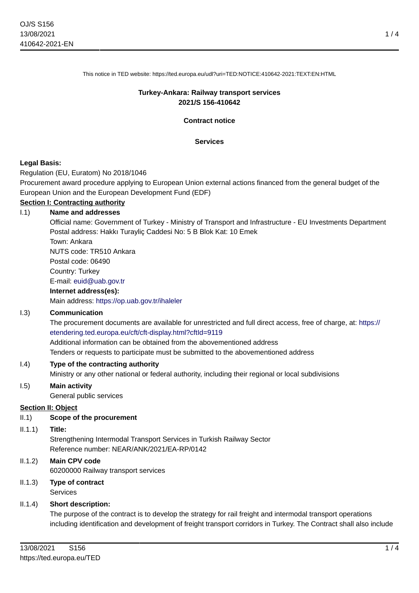This notice in TED website: https://ted.europa.eu/udl?uri=TED:NOTICE:410642-2021:TEXT:EN:HTML

## **Turkey-Ankara: Railway transport services 2021/S 156-410642**

**Contract notice**

#### **Services**

### **Legal Basis:**

Regulation (EU, Euratom) No 2018/1046

Procurement award procedure applying to European Union external actions financed from the general budget of the European Union and the European Development Fund (EDF)

# **Section I: Contracting authority**

### I.1) **Name and addresses**

Official name: Government of Turkey - Ministry of Transport and Infrastructure - EU Investments Department Postal address: Hakkı Turayliç Caddesi No: 5 B Blok Kat: 10 Emek

Town: Ankara NUTS code: TR510 Ankara

Postal code: 06490

Country: Turkey

E-mail: [euid@uab.gov.tr](mailto:euid@uab.gov.tr)

#### **Internet address(es):**

Main address:<https://op.uab.gov.tr/ihaleler>

### I.3) **Communication**

The procurement documents are available for unrestricted and full direct access, free of charge, at: [https://](https://etendering.ted.europa.eu/cft/cft-display.html?cftId=9119) [etendering.ted.europa.eu/cft/cft-display.html?cftId=9119](https://etendering.ted.europa.eu/cft/cft-display.html?cftId=9119)

Additional information can be obtained from the abovementioned address

Tenders or requests to participate must be submitted to the abovementioned address

### I.4) **Type of the contracting authority**

Ministry or any other national or federal authority, including their regional or local subdivisions

#### I.5) **Main activity**

General public services

### **Section II: Object**

#### II.1) **Scope of the procurement**

#### II.1.1) **Title:**

Strengthening Intermodal Transport Services in Turkish Railway Sector Reference number: NEAR/ANK/2021/EA-RP/0142

- II.1.2) **Main CPV code** 60200000 Railway transport services
- II.1.3) **Type of contract** Services

### II.1.4) **Short description:**

The purpose of the contract is to develop the strategy for rail freight and intermodal transport operations including identification and development of freight transport corridors in Turkey. The Contract shall also include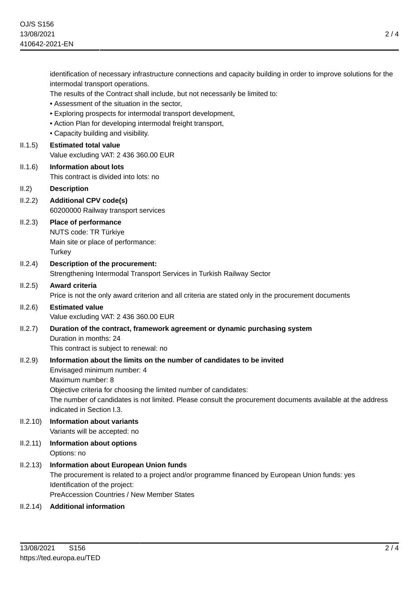|          | identification of necessary infrastructure connections and capacity building in order to improve solutions for the<br>intermodal transport operations. |
|----------|--------------------------------------------------------------------------------------------------------------------------------------------------------|
|          | The results of the Contract shall include, but not necessarily be limited to:<br>• Assessment of the situation in the sector,                          |
|          | • Exploring prospects for intermodal transport development,                                                                                            |
|          | • Action Plan for developing intermodal freight transport,                                                                                             |
|          | • Capacity building and visibility.                                                                                                                    |
| II.1.5)  | <b>Estimated total value</b>                                                                                                                           |
|          | Value excluding VAT: 2 436 360.00 EUR                                                                                                                  |
| II.1.6)  | <b>Information about lots</b>                                                                                                                          |
|          | This contract is divided into lots: no                                                                                                                 |
| II.2)    | <b>Description</b>                                                                                                                                     |
| II.2.2)  | <b>Additional CPV code(s)</b>                                                                                                                          |
|          | 60200000 Railway transport services                                                                                                                    |
| II.2.3)  | <b>Place of performance</b>                                                                                                                            |
|          | NUTS code: TR Türkiye<br>Main site or place of performance:                                                                                            |
|          | Turkey                                                                                                                                                 |
| II.2.4)  | Description of the procurement:                                                                                                                        |
|          | Strengthening Intermodal Transport Services in Turkish Railway Sector                                                                                  |
| II.2.5)  | Award criteria                                                                                                                                         |
|          | Price is not the only award criterion and all criteria are stated only in the procurement documents                                                    |
| II.2.6)  | <b>Estimated value</b>                                                                                                                                 |
|          | Value excluding VAT: 2 436 360.00 EUR                                                                                                                  |
| II.2.7)  | Duration of the contract, framework agreement or dynamic purchasing system                                                                             |
|          | Duration in months: 24                                                                                                                                 |
|          | This contract is subject to renewal: no                                                                                                                |
| II.2.9)  | Information about the limits on the number of candidates to be invited                                                                                 |
|          | Envisaged minimum number: 4<br>Maximum number: 8                                                                                                       |
|          | Objective criteria for choosing the limited number of candidates:                                                                                      |
|          | The number of candidates is not limited. Please consult the procurement documents available at the address                                             |
|          | indicated in Section I.3.                                                                                                                              |
| II.2.10) | <b>Information about variants</b>                                                                                                                      |
|          | Variants will be accepted: no                                                                                                                          |
| II.2.11) | <b>Information about options</b>                                                                                                                       |
|          | Options: no                                                                                                                                            |
| II.2.13) | <b>Information about European Union funds</b>                                                                                                          |
|          | The procurement is related to a project and/or programme financed by European Union funds: yes                                                         |
|          | Identification of the project:                                                                                                                         |
|          | PreAccession Countries / New Member States                                                                                                             |
| II.2.14) | <b>Additional information</b>                                                                                                                          |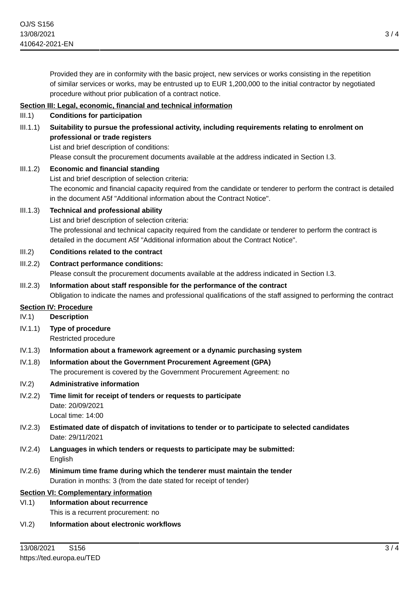Provided they are in conformity with the basic project, new services or works consisting in the repetition of similar services or works, may be entrusted up to EUR 1,200,000 to the initial contractor by negotiated procedure without prior publication of a contract notice.

## **Section III: Legal, economic, financial and technical information**

- III.1) **Conditions for participation**
- III.1.1) **Suitability to pursue the professional activity, including requirements relating to enrolment on professional or trade registers**

List and brief description of conditions:

Please consult the procurement documents available at the address indicated in Section I.3.

- III.1.2) **Economic and financial standing** List and brief description of selection criteria: The economic and financial capacity required from the candidate or tenderer to perform the contract is detailed in the document A5f "Additional information about the Contract Notice".
- III.1.3) **Technical and professional ability**

List and brief description of selection criteria: The professional and technical capacity required from the candidate or tenderer to perform the contract is detailed in the document A5f "Additional information about the Contract Notice".

- III.2) **Conditions related to the contract**
- III.2.2) **Contract performance conditions:**

Please consult the procurement documents available at the address indicated in Section I.3.

III.2.3) **Information about staff responsible for the performance of the contract** Obligation to indicate the names and professional qualifications of the staff assigned to performing the contract

### **Section IV: Procedure**

- IV.1) **Description**
- IV.1.1) **Type of procedure**

Restricted procedure

- IV.1.3) **Information about a framework agreement or a dynamic purchasing system**
- IV.1.8) **Information about the Government Procurement Agreement (GPA)** The procurement is covered by the Government Procurement Agreement: no
- IV.2) **Administrative information**
- IV.2.2) **Time limit for receipt of tenders or requests to participate** Date: 20/09/2021 Local time: 14:00
- IV.2.3) **Estimated date of dispatch of invitations to tender or to participate to selected candidates** Date: 29/11/2021
- IV.2.4) **Languages in which tenders or requests to participate may be submitted:** English
- IV.2.6) **Minimum time frame during which the tenderer must maintain the tender** Duration in months: 3 (from the date stated for receipt of tender)

### **Section VI: Complementary information**

VI.1) **Information about recurrence**

- This is a recurrent procurement: no
- VI.2) **Information about electronic workflows**